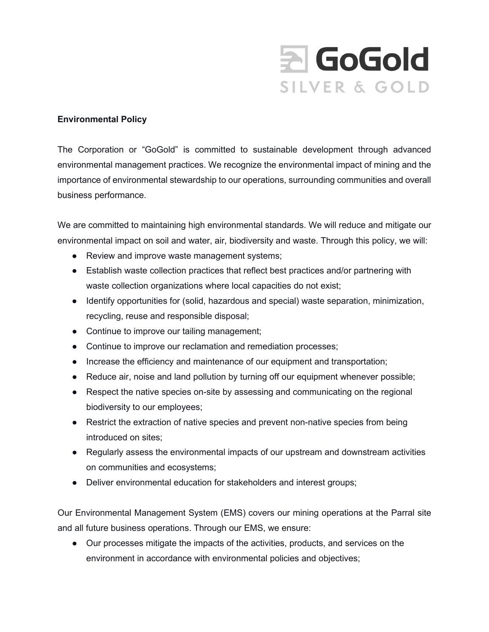

## **Environmental Policy**

The Corporation or "GoGold" is committed to sustainable development through advanced environmental management practices. We recognize the environmental impact of mining and the importance of environmental stewardship to our operations, surrounding communities and overall business performance.

We are committed to maintaining high environmental standards. We will reduce and mitigate our environmental impact on soil and water, air, biodiversity and waste. Through this policy, we will:

- Review and improve waste management systems;
- Establish waste collection practices that reflect best practices and/or partnering with waste collection organizations where local capacities do not exist;
- Identify opportunities for (solid, hazardous and special) waste separation, minimization, recycling, reuse and responsible disposal;
- Continue to improve our tailing management;
- Continue to improve our reclamation and remediation processes;
- Increase the efficiency and maintenance of our equipment and transportation;
- Reduce air, noise and land pollution by turning off our equipment whenever possible;
- Respect the native species on-site by assessing and communicating on the regional biodiversity to our employees;
- Restrict the extraction of native species and prevent non-native species from being introduced on sites;
- Regularly assess the environmental impacts of our upstream and downstream activities on communities and ecosystems;
- Deliver environmental education for stakeholders and interest groups;

Our Environmental Management System (EMS) covers our mining operations at the Parral site and all future business operations. Through our EMS, we ensure:

● Our processes mitigate the impacts of the activities, products, and services on the environment in accordance with environmental policies and objectives;